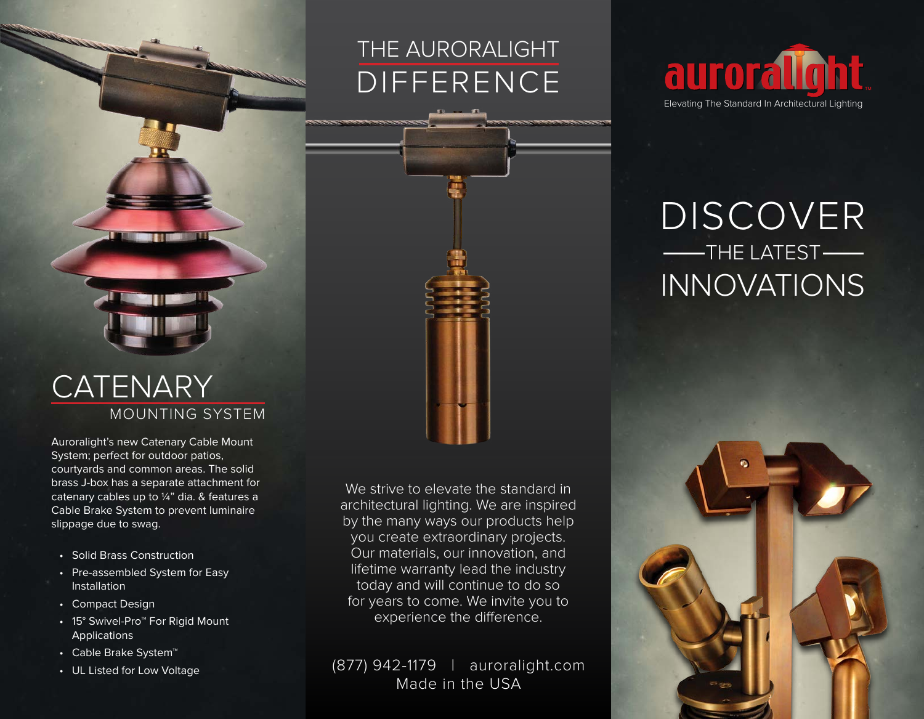## THE AURORALIGHT DIFFERENCE



## DISCOVER **---THE LATEST-**INNOVATIONS

## MOUNTING SYSTEM **CATENARY**

Auroralight's new Catenary Cable Mount System; perfect for outdoor patios, courtyards and common areas. The solid brass J-box has a separate attachment for catenary cables up to ¼" dia. & features a Cable Brake System to prevent luminaire slippage due to swag.

- Solid Brass Construction
- Pre-assembled System for Easy Installation
- Compact Design
- 15° Swivel-Pro™ For Rigid Mount **Applications**
- Cable Brake System™
- UL Listed for Low Voltage

We strive to elevate the standard in architectural lighting. We are inspired by the many ways our products help you create extraordinary projects. Our materials, our innovation, and lifetime warranty lead the industry today and will continue to do so for years to come. We invite you to experience the difference.

(877) 942-1179 | auroralight.com Made in the USA